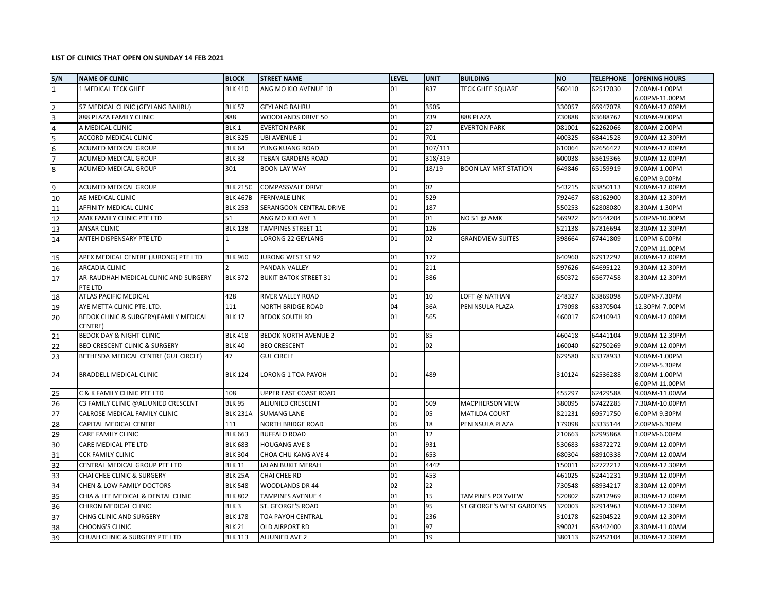## **LIST OF CLINICS THAT OPEN ON SUNDAY 14 FEB 2021**

| S/N             | <b>NAME OF CLINIC</b>                            | <b>BLOCK</b>     | <b>STREET NAME</b>           | <b>LEVEL</b> | <b>UNIT</b> | <b>BUILDING</b>             | <b>NO</b> | <b>TELEPHONE</b> | <b>OPENING HOURS</b>            |
|-----------------|--------------------------------------------------|------------------|------------------------------|--------------|-------------|-----------------------------|-----------|------------------|---------------------------------|
| $\overline{1}$  | 1 MEDICAL TECK GHEE                              | <b>BLK 410</b>   | ANG MO KIO AVENUE 10         | 01           | 837         | <b>TECK GHEE SQUARE</b>     | 560410    | 62517030         | 7.00AM-1.00PM                   |
|                 |                                                  |                  |                              |              |             |                             |           |                  | 6.00PM-11.00PM                  |
| 2               | 57 MEDICAL CLINIC (GEYLANG BAHRU)                | <b>BLK 57</b>    | <b>GEYLANG BAHRU</b>         | 01           | 3505        |                             | 330057    | 66947078         | 9.00AM-12.00PM                  |
| Iз              | 888 PLAZA FAMILY CLINIC                          | 888              | WOODLANDS DRIVE 50           | 01           | 739         | 888 PLAZA                   | 730888    | 63688762         | 9.00AM-9.00PM                   |
| $\overline{4}$  | A MEDICAL CLINIC                                 | BLK <sub>1</sub> | <b>EVERTON PARK</b>          | 01           | 27          | <b>EVERTON PARK</b>         | 081001    | 62262066         | 8.00AM-2.00PM                   |
| 5               | ACCORD MEDICAL CLINIC                            | <b>BLK 325</b>   | <b>UBI AVENUE 1</b>          | 01           | 701         |                             | 400325    | 68441528         | 9.00AM-12.30PM                  |
| 6               | ACUMED MEDICAL GROUP                             | <b>BLK 64</b>    | YUNG KUANG ROAD              | 01           | 107/111     |                             | 610064    | 62656422         | 9.00AM-12.00PM                  |
| $\overline{7}$  | ACUMED MEDICAL GROUP                             | <b>BLK 38</b>    | TEBAN GARDENS ROAD           | 01           | 318/319     |                             | 600038    | 65619366         | 9.00AM-12.00PM                  |
| 8               | ACUMED MEDICAL GROUP                             | 301              | <b>BOON LAY WAY</b>          | 01           | 18/19       | <b>BOON LAY MRT STATION</b> | 649846    | 65159919         | 9.00AM-1.00PM                   |
|                 |                                                  |                  |                              |              |             |                             |           |                  | 6.00PM-9.00PM                   |
| $\overline{9}$  | ACUMED MEDICAL GROUP                             | <b>BLK 215C</b>  | <b>COMPASSVALE DRIVE</b>     | 01           | 02          |                             | 543215    | 63850113         | 9.00AM-12.00PM                  |
| 10              | AE MEDICAL CLINIC                                | <b>BLK 467B</b>  | <b>FERNVALE LINK</b>         | 01           | 529         |                             | 792467    | 68162900         | 8.30AM-12.30PM                  |
| 11              | AFFINITY MEDICAL CLINIC                          | <b>BLK 253</b>   | SERANGOON CENTRAL DRIVE      | 01           | 187         |                             | 550253    | 62808080         | 8.30AM-1.30PM                   |
| 12              | AMK FAMILY CLINIC PTE LTD                        | 51               | ANG MO KIO AVE 3             | 01           | 01          | NO 51 @ AMK                 | 569922    | 64544204         | 5.00PM-10.00PM                  |
| 13              | <b>ANSAR CLINIC</b>                              | <b>BLK 138</b>   | <b>TAMPINES STREET 11</b>    | 01           | 126         |                             | 521138    | 67816694         | 8.30AM-12.30PM                  |
| 14              | ANTEH DISPENSARY PTE LTD                         |                  | LORONG 22 GEYLANG            | 01           | 02          | <b>GRANDVIEW SUITES</b>     | 398664    | 67441809         | 1.00PM-6.00PM<br>7.00PM-11.00PM |
| 15              | APEX MEDICAL CENTRE (JURONG) PTE LTD             | <b>BLK 960</b>   | JURONG WEST ST 92            | 01           | 172         |                             | 640960    | 67912292         | 8.00AM-12.00PM                  |
| 16              | ARCADIA CLINIC                                   |                  | PANDAN VALLEY                | 01           | 211         |                             | 597626    | 64695122         | 9.30AM-12.30PM                  |
| 17              | AR-RAUDHAH MEDICAL CLINIC AND SURGERY            | <b>BLK 372</b>   | <b>BUKIT BATOK STREET 31</b> | 01           | 386         |                             | 650372    | 65677458         | 8.30AM-12.30PM                  |
|                 | PTE LTD                                          |                  |                              |              |             |                             |           |                  |                                 |
| 18              | ATLAS PACIFIC MEDICAL                            | 428              | RIVER VALLEY ROAD            | 01           | 10          | LOFT @ NATHAN               | 248327    | 63869098         | 5.00PM-7.30PM                   |
| 19              | AYE METTA CLINIC PTE. LTD.                       | 111              | NORTH BRIDGE ROAD            | 04           | 36A         | PENINSULA PLAZA             | 179098    | 63370504         | 12.30PM-7.00PM                  |
| 20              | BEDOK CLINIC & SURGERY(FAMILY MEDICAL<br>CENTRE) | <b>BLK 17</b>    | <b>BEDOK SOUTH RD</b>        | 01           | 565         |                             | 460017    | 62410943         | 9.00AM-12.00PM                  |
| 21              | BEDOK DAY & NIGHT CLINIC                         | <b>BLK 418</b>   | <b>BEDOK NORTH AVENUE 2</b>  | 01           | 85          |                             | 460418    | 64441104         | 9.00AM-12.30PM                  |
| 22              | BEO CRESCENT CLINIC & SURGERY                    | <b>BLK 40</b>    | <b>BEO CRESCENT</b>          | 01           | 02          |                             | 160040    | 62750269         | 9.00AM-12.00PM                  |
| 23              | BETHESDA MEDICAL CENTRE (GUL CIRCLE)             | 47               | <b>GUL CIRCLE</b>            |              |             |                             | 629580    | 63378933         | 9.00AM-1.00PM<br>2.00PM-5.30PM  |
| 24              | BRADDELL MEDICAL CLINIC                          | <b>BLK 124</b>   | LORONG 1 TOA PAYOH           | 01           | 489         |                             | 310124    | 62536288         | 8.00AM-1.00PM                   |
|                 |                                                  |                  |                              |              |             |                             |           |                  | 6.00PM-11.00PM                  |
| 25              | C & K FAMILY CLINIC PTE LTD                      | 108              | UPPER EAST COAST ROAD        |              |             |                             | 455297    | 62429588         | 9.00AM-11.00AM                  |
| 26              | C3 FAMILY CLINIC @ALJUNIED CRESCENT              | <b>BLK 95</b>    | <b>ALJUNIED CRESCENT</b>     | 01           | 509         | <b>MACPHERSON VIEW</b>      | 380095    | 67422285         | 7.30AM-10.00PM                  |
| 27              | CALROSE MEDICAL FAMILY CLINIC                    | <b>BLK 231A</b>  | <b>SUMANG LANE</b>           | 01           | 05          | MATILDA COURT               | 821231    | 69571750         | 6.00PM-9.30PM                   |
| 28              | CAPITAL MEDICAL CENTRE                           | 111              | <b>NORTH BRIDGE ROAD</b>     | 05           | 18          | PENINSULA PLAZA             | 179098    | 63335144         | 2.00PM-6.30PM                   |
| 29              | CARE FAMILY CLINIC                               | <b>BLK 663</b>   | <b>BUFFALO ROAD</b>          | 01           | 12          |                             | 210663    | 62995868         | 1.00PM-6.00PM                   |
| 30              | CARE MEDICAL PTE LTD                             | <b>BLK 683</b>   | <b>HOUGANG AVE 8</b>         | 01           | 931         |                             | 530683    | 63872272         | 9.00AM-12.00PM                  |
| 31              | <b>CCK FAMILY CLINIC</b>                         | <b>BLK 304</b>   | CHOA CHU KANG AVE 4          | 01           | 653         |                             | 680304    | 68910338         | 7.00AM-12.00AM                  |
| 32              | CENTRAL MEDICAL GROUP PTE LTD                    | <b>BLK 11</b>    | <b>JALAN BUKIT MERAH</b>     | 01           | 4442        |                             | 150011    | 62722212         | 9.00AM-12.30PM                  |
| 33              | CHAI CHEE CLINIC & SURGERY                       | <b>BLK 25A</b>   | CHAI CHEE RD                 | 01           | 453         |                             | 461025    | 62441231         | 9.30AM-12.00PM                  |
| 34              | CHEN & LOW FAMILY DOCTORS                        | <b>BLK 548</b>   | WOODLANDS DR 44              | 02           | 22          |                             | 730548    | 68934217         | 8.30AM-12.00PM                  |
| 35              | CHIA & LEE MEDICAL & DENTAL CLINIC               | <b>BLK 802</b>   | <b>TAMPINES AVENUE 4</b>     | 01           | 15          | <b>TAMPINES POLYVIEW</b>    | 520802    | 67812969         | 8.30AM-12.00PM                  |
| 36              | CHIRON MEDICAL CLINIC                            | BLK <sub>3</sub> | ST. GEORGE'S ROAD            | 01           | 95          | ST GEORGE'S WEST GARDENS    | 320003    | 62914963         | 9.00AM-12.30PM                  |
| $\overline{37}$ | CHNG CLINIC AND SURGERY                          | <b>BLK 178</b>   | TOA PAYOH CENTRAL            | 01           | 236         |                             | 310178    | 62504522         | 9.00AM-12.30PM                  |
| 38              | <b>CHOONG'S CLINIC</b>                           | <b>BLK 21</b>    | OLD AIRPORT RD               | 01           | 97          |                             | 390021    | 63442400         | 8.30AM-11.00AM                  |
| 39              | CHUAH CLINIC & SURGERY PTE LTD                   | <b>BLK 113</b>   | <b>ALJUNIED AVE 2</b>        | 01           | 19          |                             | 380113    | 67452104         | 8.30AM-12.30PM                  |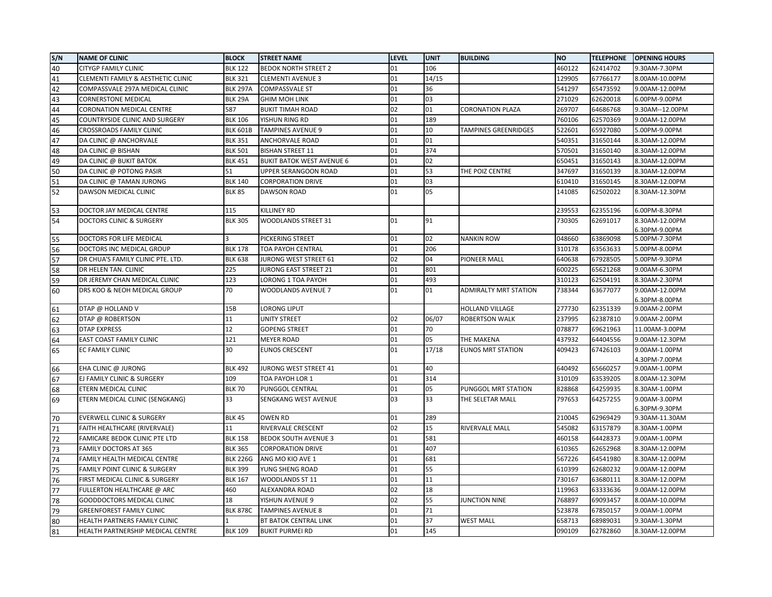| S/N | <b>NAME OF CLINIC</b>                    | <b>BLOCK</b>    | <b>STREET NAME</b>               | <b>LEVEL</b> | <b>UNIT</b> | <b>BUILDING</b>              | <b>NO</b> | <b>TELEPHONE</b> | <b>OPENING HOURS</b>            |
|-----|------------------------------------------|-----------------|----------------------------------|--------------|-------------|------------------------------|-----------|------------------|---------------------------------|
| 40  | <b>CITYGP FAMILY CLINIC</b>              | <b>BLK 122</b>  | <b>BEDOK NORTH STREET 2</b>      | 01           | 106         |                              | 460122    | 62414702         | 9.30AM-7.30PM                   |
| 41  | CLEMENTI FAMILY & AESTHETIC CLINIC       | <b>BLK 321</b>  | <b>CLEMENTI AVENUE 3</b>         | 01           | 14/15       |                              | 129905    | 67766177         | 8.00AM-10.00PM                  |
| 42  | COMPASSVALE 297A MEDICAL CLINIC          | <b>BLK 297A</b> | <b>COMPASSVALE ST</b>            | 01           | 36          |                              | 541297    | 65473592         | 9.00AM-12.00PM                  |
| 43  | <b>CORNERSTONE MEDICAL</b>               | BLK 29A         | <b>GHIM MOH LINK</b>             | 01           | 03          |                              | 271029    | 62620018         | 6.00PM-9.00PM                   |
| 44  | <b>CORONATION MEDICAL CENTRE</b>         | 587             | <b>BUKIT TIMAH ROAD</b>          | 02           | 01          | <b>CORONATION PLAZA</b>      | 269707    | 64686768         | 9.30AM--12.00PM                 |
| 45  | COUNTRYSIDE CLINIC AND SURGERY           | <b>BLK 106</b>  | YISHUN RING RD                   | 01           | 189         |                              | 760106    | 62570369         | 9.00AM-12.00PM                  |
| 46  | <b>CROSSROADS FAMILY CLINIC</b>          | <b>BLK 601B</b> | <b>TAMPINES AVENUE 9</b>         | 01           | 10          | <b>TAMPINES GREENRIDGES</b>  | 522601    | 65927080         | 5.00PM-9.00PM                   |
| 47  | DA CLINIC @ ANCHORVALE                   | <b>BLK 351</b>  | ANCHORVALE ROAD                  | 01           | 01          |                              | 540351    | 31650144         | 8.30AM-12.00PM                  |
| 48  | DA CLINIC @ BISHAN                       | <b>BLK 501</b>  | <b>BISHAN STREET 11</b>          | 01           | 374         |                              | 570501    | 31650140         | 8.30AM-12.00PM                  |
| 49  | DA CLINIC @ BUKIT BATOK                  | <b>BLK 451</b>  | <b>BUKIT BATOK WEST AVENUE 6</b> | 01           | 02          |                              | 650451    | 31650143         | 8.30AM-12.00PM                  |
| 50  | DA CLINIC @ POTONG PASIR                 | 51              | UPPER SERANGOON ROAD             | 01           | 53          | THE POIZ CENTRE              | 347697    | 31650139         | 8.30AM-12.00PM                  |
| 51  | DA CLINIC @ TAMAN JURONG                 | <b>BLK 140</b>  | <b>CORPORATION DRIVE</b>         | 01           | 03          |                              | 610410    | 31650145         | 8.30AM-12.00PM                  |
| 52  | DAWSON MEDICAL CLINIC                    | <b>BLK 85</b>   | <b>DAWSON ROAD</b>               | 01           | 05          |                              | 141085    | 62502022         | 8.30AM-12.30PM                  |
| 53  | DOCTOR JAY MEDICAL CENTRE                | 115             | KILLINEY RD                      |              |             |                              | 239553    | 62355196         | 6.00PM-8.30PM                   |
| 54  | <b>DOCTORS CLINIC &amp; SURGERY</b>      | <b>BLK 305</b>  | <b>WOODLANDS STREET 31</b>       | 01           | 91          |                              | 730305    | 62691017         | 8.30AM-12.00PM<br>6.30PM-9.00PM |
| 55  | DOCTORS FOR LIFE MEDICAL                 |                 | PICKERING STREET                 | 01           | 02          | <b>NANKIN ROW</b>            | 048660    | 63869098         | 5.00PM-7.30PM                   |
| 56  | DOCTORS INC MEDICAL GROUP                | <b>BLK 178</b>  | <b>TOA PAYOH CENTRAL</b>         | 01           | 206         |                              | 310178    | 63563633         | 5.00PM-8.00PM                   |
| 57  | DR CHUA'S FAMILY CLINIC PTE. LTD.        | <b>BLK 638</b>  | JURONG WEST STREET 61            | 02           | 04          | <b>PIONEER MALL</b>          | 640638    | 67928505         | 5.00PM-9.30PM                   |
| 58  | DR HELEN TAN. CLINIC                     | 225             | JURONG EAST STREET 21            | 01           | 801         |                              | 600225    | 65621268         | 9.00AM-6.30PM                   |
| 59  | DR JEREMY CHAN MEDICAL CLINIC            | 123             | LORONG 1 TOA PAYOH               | 01           | 493         |                              | 310123    | 62504191         | 8.30AM-2.30PM                   |
| 60  | DRS KOO & NEOH MEDICAL GROUP             | 70              | WOODLANDS AVENUE 7               | 01           | 01          | <b>ADMIRALTY MRT STATION</b> | 738344    | 63677077         | 9.00AM-12.00PM                  |
|     |                                          |                 |                                  |              |             |                              |           |                  | 6.30PM-8.00PM                   |
| 61  | DTAP @ HOLLAND V                         | 15B             | LORONG LIPUT                     |              |             | <b>HOLLAND VILLAGE</b>       | 277730    | 62351339         | 9.00AM-2.00PM                   |
| 62  | DTAP @ ROBERTSON                         | 11              | UNITY STREET                     | 02           | 06/07       | ROBERTSON WALK               | 237995    | 62387810         | 9.00AM-2.00PM                   |
| 63  | <b>DTAP EXPRESS</b>                      | 12              | <b>GOPENG STREET</b>             | 01           | 70          |                              | 078877    | 69621963         | 11.00AM-3.00PM                  |
| 64  | EAST COAST FAMILY CLINIC                 | 121             | <b>MEYER ROAD</b>                | 01           | 05          | THE MAKENA                   | 437932    | 64404556         | 9.00AM-12.30PM                  |
| 65  | EC FAMILY CLINIC                         | 30              | <b>EUNOS CRESCENT</b>            | 01           | 17/18       | <b>EUNOS MRT STATION</b>     | 409423    | 67426103         | 9.00AM-1.00PM<br>4.30PM-7.00PM  |
| 66  | EHA CLINIC @ JURONG                      | <b>BLK 492</b>  | JURONG WEST STREET 41            | 01           | 40          |                              | 640492    | 65660257         | 9.00AM-1.00PM                   |
| 67  | EJ FAMILY CLINIC & SURGERY               | 109             | TOA PAYOH LOR 1                  | 01           | 314         |                              | 310109    | 63539205         | 8.00AM-12.30PM                  |
| 68  | ETERN MEDICAL CLINIC                     | <b>BLK 70</b>   | PUNGGOL CENTRAL                  | 01           | 05          | PUNGGOL MRT STATION          | 828868    | 64259935         | 8.30AM-1.00PM                   |
| 69  | ETERN MEDICAL CLINIC (SENGKANG)          | 33              | SENGKANG WEST AVENUE             | 03           | 33          | THE SELETAR MALL             | 797653    | 64257255         | 9.00AM-3.00PM<br>6.30PM-9.30PM  |
| 70  | <b>EVERWELL CLINIC &amp; SURGERY</b>     | <b>BLK 45</b>   | OWEN RD                          | 01           | 289         |                              | 210045    | 62969429         | 9.30AM-11.30AM                  |
| 71  | FAITH HEALTHCARE (RIVERVALE)             | 11              | RIVERVALE CRESCENT               | 02           | 15          | RIVERVALE MALL               | 545082    | 63157879         | 8.30AM-1.00PM                   |
| 72  | FAMICARE BEDOK CLINIC PTE LTD            | <b>BLK 158</b>  | <b>BEDOK SOUTH AVENUE 3</b>      | 01           | 581         |                              | 460158    | 64428373         | 9.00AM-1.00PM                   |
| 73  | <b>FAMILY DOCTORS AT 365</b>             | <b>BLK 365</b>  | <b>CORPORATION DRIVE</b>         | 01           | 407         |                              | 610365    | 62652968         | 8.30AM-12.00PM                  |
| 74  | FAMILY HEALTH MEDICAL CENTRE             | <b>BLK 226G</b> | ANG MO KIO AVE 1                 | 01           | 681         |                              | 567226    | 64541980         | 8.30AM-12.00PM                  |
| 75  | <b>FAMILY POINT CLINIC &amp; SURGERY</b> | <b>BLK 399</b>  | YUNG SHENG ROAD                  | 01           | 55          |                              | 610399    | 62680232         | 9.00AM-12.00PM                  |
| 76  | FIRST MEDICAL CLINIC & SURGERY           | <b>BLK 167</b>  | WOODLANDS ST 11                  | 01           | 11          |                              | 730167    | 63680111         | 8.30AM-12.00PM                  |
| 77  | FULLERTON HEALTHCARE @ ARC               | 460             | ALEXANDRA ROAD                   | 02           | 18          |                              | 119963    | 63333636         | 9.00AM-12.00PM                  |
| 78  | GOODDOCTORS MEDICAL CLINIC               | 18              | YISHUN AVENUE 9                  | 02           | 55          | <b>JUNCTION NINE</b>         | 768897    | 69093457         | 8.00AM-10.00PM                  |
| 79  | <b>GREENFOREST FAMILY CLINIC</b>         | <b>BLK 878C</b> | <b>TAMPINES AVENUE 8</b>         | 01           | 71          |                              | 523878    | 67850157         | 9.00AM-1.00PM                   |
| 80  | HEALTH PARTNERS FAMILY CLINIC            |                 | BT BATOK CENTRAL LINK            | 01           | 37          | <b>WEST MALL</b>             | 658713    | 68989031         | 9.30AM-1.30PM                   |
| 81  | HEALTH PARTNERSHIP MEDICAL CENTRE        | <b>BLK 109</b>  | <b>BUKIT PURMEI RD</b>           | 01           | 145         |                              | 090109    | 62782860         | 8.30AM-12.00PM                  |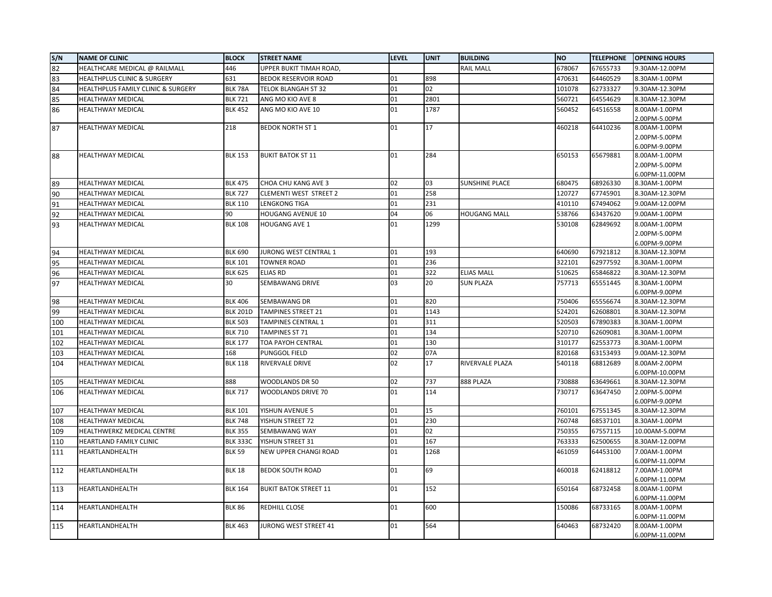| S/N | <b>NAME OF CLINIC</b>                  | <b>BLOCK</b>                      | <b>STREET NAME</b>            | <b>LEVEL</b> | <b>UNIT</b> | <b>BUILDING</b>       | <b>NO</b> | <b>TELEPHONE</b>     | <b>OPENING HOURS</b>            |
|-----|----------------------------------------|-----------------------------------|-------------------------------|--------------|-------------|-----------------------|-----------|----------------------|---------------------------------|
| 82  | HEALTHCARE MEDICAL @ RAILMALL          | 446                               | UPPER BUKIT TIMAH ROAD,       |              |             | <b>RAIL MALL</b>      | 678067    | 67655733             | 9.30AM-12.00PM                  |
| 83  | <b>HEALTHPLUS CLINIC &amp; SURGERY</b> | 631                               | <b>BEDOK RESERVOIR ROAD</b>   | 01           | 898         |                       | 470631    | 64460529             | 8.30AM-1.00PM                   |
| 84  | HEALTHPLUS FAMILY CLINIC & SURGERY     | BLK 78A                           | <b>TELOK BLANGAH ST 32</b>    | 01           | 02          |                       | 101078    | 62733327             | 9.30AM-12.30PM                  |
| 85  | HEALTHWAY MEDICAL                      | <b>BLK 721</b>                    | ANG MO KIO AVE 8              | 01           | 2801        |                       | 560721    | 64554629             | 8.30AM-12.30PM                  |
| 86  | HEALTHWAY MEDICAL                      | <b>BLK 452</b>                    | ANG MO KIO AVE 10             | 01           | 1787        |                       | 560452    | 64516558             | 8.00AM-1.00PM                   |
|     |                                        |                                   |                               |              |             |                       |           |                      | 2.00PM-5.00PM                   |
| 87  | HEALTHWAY MEDICAL                      | 218                               | <b>BEDOK NORTH ST 1</b>       | 01           | 17          |                       | 460218    | 64410236             | 8.00AM-1.00PM                   |
|     |                                        |                                   |                               |              |             |                       |           |                      | 2.00PM-5.00PM                   |
|     |                                        |                                   |                               |              |             |                       |           |                      | 6.00PM-9.00PM                   |
| 88  | HEALTHWAY MEDICAL                      | <b>BLK 153</b>                    | <b>BUKIT BATOK ST 11</b>      | 01           | 284         |                       | 650153    | 65679881             | 8.00AM-1.00PM                   |
|     |                                        |                                   |                               |              |             |                       |           |                      | 2.00PM-5.00PM<br>6.00PM-11.00PM |
| 89  | HEALTHWAY MEDICAL                      | <b>BLK 475</b>                    | CHOA CHU KANG AVE 3           | 02           | 03          | <b>SUNSHINE PLACE</b> | 680475    | 68926330             | 8.30AM-1.00PM                   |
| 90  | HEALTHWAY MEDICAL                      | <b>BLK 727</b>                    | <b>CLEMENTI WEST STREET 2</b> | 01           | 258         |                       | 120727    | 67745901             | 8.30AM-12.30PM                  |
| 91  | HEALTHWAY MEDICAL                      | <b>BLK 110</b>                    | <b>LENGKONG TIGA</b>          | 01           | 231         |                       | 410110    | 67494062             | 9.00AM-12.00PM                  |
| 92  | HEALTHWAY MEDICAL                      | 90                                | <b>HOUGANG AVENUE 10</b>      | 04           | 06          | <b>HOUGANG MALL</b>   | 538766    | 63437620             | 9.00AM-1.00PM                   |
| 93  | <b>HEALTHWAY MEDICAL</b>               | <b>BLK 108</b>                    | <b>HOUGANG AVE 1</b>          | 01           | 1299        |                       | 530108    | 62849692             | 8.00AM-1.00PM                   |
|     |                                        |                                   |                               |              |             |                       |           |                      | 2.00PM-5.00PM                   |
|     |                                        |                                   |                               |              |             |                       |           |                      | 6.00PM-9.00PM                   |
| 94  | HEALTHWAY MEDICAL                      | <b>BLK 690</b>                    | JURONG WEST CENTRAL 1         | 01           | 193         |                       | 640690    | 67921812             | 8.30AM-12.30PM                  |
| 95  | HEALTHWAY MEDICAL                      | <b>BLK 101</b>                    | <b>TOWNER ROAD</b>            | 01           | 236         |                       | 322101    | 62977592             | 8.30AM-1.00PM                   |
| 96  | <b>HEALTHWAY MEDICAL</b>               | <b>BLK 625</b>                    | <b>ELIAS RD</b>               | 01           | 322         | <b>ELIAS MALL</b>     | 510625    | 65846822             | 8.30AM-12.30PM                  |
| 97  | HEALTHWAY MEDICAL                      | 30                                | <b>SEMBAWANG DRIVE</b>        | 03           | 20          | <b>SUN PLAZA</b>      | 757713    | 65551445             | 8.30AM-1.00PM                   |
|     |                                        |                                   |                               |              |             |                       |           |                      | 6.00PM-9.00PM                   |
| 98  | HEALTHWAY MEDICAL                      | <b>BLK 406</b>                    | <b>SEMBAWANG DR</b>           | 01           | 820         |                       | 750406    | 65556674             | 8.30AM-12.30PM                  |
| 99  | <b>HEALTHWAY MEDICAL</b>               | <b>BLK 201D</b>                   | <b>TAMPINES STREET 21</b>     | 01           | 1143        |                       | 524201    | 62608801             | 8.30AM-12.30PM                  |
| 100 | HEALTHWAY MEDICAL                      | <b>BLK 503</b>                    | <b>TAMPINES CENTRAL 1</b>     | 01           | 311         |                       | 520503    | 67890383             | 8.30AM-1.00PM                   |
| 101 | HEALTHWAY MEDICAL                      | <b>BLK 710</b>                    | TAMPINES ST 71                | 01           | 134         |                       | 520710    | 62609081             | 8.30AM-1.00PM                   |
| 102 | HEALTHWAY MEDICAL                      | <b>BLK 177</b>                    | TOA PAYOH CENTRAL             | 01           | 130         |                       | 310177    | 62553773             | 8.30AM-1.00PM                   |
| 103 | <b>HEALTHWAY MEDICAL</b>               | 168                               | PUNGGOL FIELD                 | 02           | 07A         |                       | 820168    | 63153493             | 9.00AM-12.30PM                  |
| 104 | HEALTHWAY MEDICAL                      | <b>BLK 118</b>                    | <b>RIVERVALE DRIVE</b>        | 02           | 17          | RIVERVALE PLAZA       | 540118    | 68812689             | 8.00AM-2.00PM                   |
|     |                                        |                                   |                               |              |             |                       |           |                      | 6.00PM-10.00PM                  |
| 105 | <b>HEALTHWAY MEDICAL</b>               | 888                               | <b>WOODLANDS DR 50</b>        | 02           | 737         | 888 PLAZA             | 730888    | 63649661             | 8.30AM-12.30PM                  |
| 106 | <b>HEALTHWAY MEDICAL</b>               | <b>BLK 717</b>                    | <b>WOODLANDS DRIVE 70</b>     | 01           | 114         |                       | 730717    | 63647450             | 2.00PM-5.00PM                   |
|     |                                        | <b>BLK 101</b>                    |                               | 01           | 15          |                       | 760101    |                      | 6.00PM-9.00PM                   |
| 107 | HEALTHWAY MEDICAL                      | <b>BLK 748</b>                    | YISHUN AVENUE 5               | 01           | 230         |                       | 760748    | 67551345<br>68537101 | 8.30AM-12.30PM                  |
| 108 | HEALTHWAY MEDICAL                      |                                   | YISHUN STREET 72              | 01           | 02          |                       |           |                      | 8.30AM-1.00PM                   |
| 109 | HEALTHWERKZ MEDICAL CENTRE             | <b>BLK 355</b><br><b>BLK 333C</b> | <b>SEMBAWANG WAY</b>          | 01           | 167         |                       | 750355    | 67557115<br>62500655 | 10.00AM-5.00PM                  |
| 110 | HEARTLAND FAMILY CLINIC                |                                   | YISHUN STREET 31              |              |             |                       | 763333    |                      | 8.30AM-12.00PM                  |
| 111 | HEARTLANDHEALTH                        | <b>BLK 59</b>                     | NEW UPPER CHANGI ROAD         | 01           | 1268        |                       | 461059    | 64453100             | 7.00AM-1.00PM<br>6.00PM-11.00PM |
| 112 | HEARTLANDHEALTH                        | <b>BLK 18</b>                     | <b>BEDOK SOUTH ROAD</b>       | 01           | 69          |                       | 460018    | 62418812             | 7.00AM-1.00PM                   |
|     |                                        |                                   |                               |              |             |                       |           |                      | 6.00PM-11.00PM                  |
| 113 | HEARTLANDHEALTH                        | <b>BLK 164</b>                    | <b>BUKIT BATOK STREET 11</b>  | 01           | 152         |                       | 650164    | 68732458             | 8.00AM-1.00PM                   |
|     |                                        |                                   |                               |              |             |                       |           |                      | 6.00PM-11.00PM                  |
| 114 | HEARTLANDHEALTH                        | <b>BLK 86</b>                     | REDHILL CLOSE                 | 01           | 600         |                       | 150086    | 68733165             | 8.00AM-1.00PM                   |
|     |                                        |                                   |                               |              |             |                       |           |                      | 6.00PM-11.00PM                  |
| 115 | HEARTLANDHEALTH                        | <b>BLK 463</b>                    | JURONG WEST STREET 41         | 01           | 564         |                       | 640463    | 68732420             | 8.00AM-1.00PM                   |
|     |                                        |                                   |                               |              |             |                       |           |                      | 6.00PM-11.00PM                  |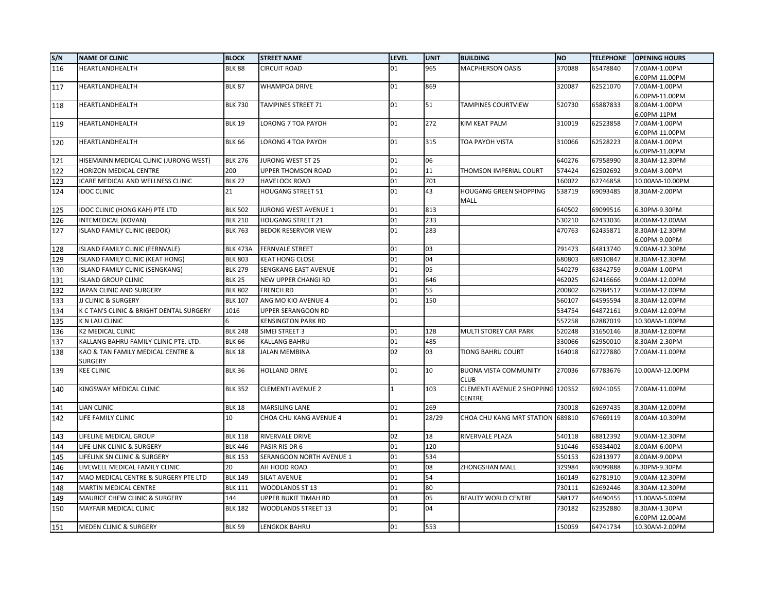| S/N | <b>NAME OF CLINIC</b>                               | <b>BLOCK</b>    | <b>STREET NAME</b>          | <b>LEVEL</b> | <b>UNIT</b> | <b>BUILDING</b>                             | <b>NO</b> | <b>TELEPHONE</b> | <b>OPENING HOURS</b>            |
|-----|-----------------------------------------------------|-----------------|-----------------------------|--------------|-------------|---------------------------------------------|-----------|------------------|---------------------------------|
| 116 | HEARTLANDHEALTH                                     | <b>BLK 88</b>   | <b>CIRCUIT ROAD</b>         | 01           | 965         | MACPHERSON OASIS                            | 370088    | 65478840         | 7.00AM-1.00PM                   |
|     |                                                     |                 |                             |              |             |                                             |           |                  | 6.00PM-11.00PM                  |
| 117 | HEARTLANDHEALTH                                     | <b>BLK 87</b>   | <b>WHAMPOA DRIVE</b>        | 01           | 869         |                                             | 320087    | 62521070         | 7.00AM-1.00PM                   |
|     |                                                     |                 |                             |              |             |                                             |           |                  | 6.00PM-11.00PM                  |
| 118 | HEARTLANDHEALTH                                     | <b>BLK 730</b>  | <b>TAMPINES STREET 71</b>   | 01           | 51          | <b>TAMPINES COURTVIEW</b>                   | 520730    | 65887833         | 8.00AM-1.00PM                   |
|     |                                                     | <b>BLK 19</b>   |                             | 01           | 272         |                                             |           |                  | 6.00PM-11PM                     |
| 119 | HEARTLANDHEALTH                                     |                 | LORONG 7 TOA PAYOH          |              |             | KIM KEAT PALM                               | 310019    | 62523858         | 7.00AM-1.00PM<br>6.00PM-11.00PM |
| 120 | HEARTLANDHEALTH                                     | <b>BLK 66</b>   | LORONG 4 TOA PAYOH          | 01           | 315         | TOA PAYOH VISTA                             | 310066    | 62528223         | 8.00AM-1.00PM                   |
|     |                                                     |                 |                             |              |             |                                             |           |                  | 6.00PM-11.00PM                  |
| 121 | HISEMAINN MEDICAL CLINIC (JURONG WEST)              | <b>BLK 276</b>  | <b>JURONG WEST ST 25</b>    | 01           | 06          |                                             | 640276    | 67958990         | 8.30AM-12.30PM                  |
| 122 | HORIZON MEDICAL CENTRE                              | 200             | <b>UPPER THOMSON ROAD</b>   | 01           | 11          | THOMSON IMPERIAL COURT                      | 574424    | 62502692         | 9.00AM-3.00PM                   |
| 123 | ICARE MEDICAL AND WELLNESS CLINIC                   | <b>BLK 22</b>   | <b>HAVELOCK ROAD</b>        | 01           | 701         |                                             | 160022    | 62746858         | 10.00AM-10.00PM                 |
| 124 | <b>IDOC CLINIC</b>                                  | 21              | <b>HOUGANG STREET 51</b>    | 01           | 43          | HOUGANG GREEN SHOPPING                      | 538719    | 69093485         | 8.30AM-2.00PM                   |
|     |                                                     |                 |                             |              |             | MALL                                        |           |                  |                                 |
| 125 | IDOC CLINIC (HONG KAH) PTE LTD                      | <b>BLK 502</b>  | JURONG WEST AVENUE 1        | 01           | 813         |                                             | 640502    | 69099516         | 6.30PM-9.30PM                   |
| 126 | INTEMEDICAL (KOVAN)                                 | <b>BLK 210</b>  | <b>HOUGANG STREET 21</b>    | 01           | 233         |                                             | 530210    | 62433036         | 8.00AM-12.00AM                  |
| 127 | ISLAND FAMILY CLINIC (BEDOK)                        | <b>BLK 763</b>  | <b>BEDOK RESERVOIR VIEW</b> | 01           | 283         |                                             | 470763    | 62435871         | 8.30AM-12.30PM                  |
|     |                                                     |                 |                             |              |             |                                             |           |                  | 6.00PM-9.00PM                   |
| 128 | ISLAND FAMILY CLINIC (FERNVALE)                     | <b>BLK 473A</b> | <b>FERNVALE STREET</b>      | 01           | 03          |                                             | 791473    | 64813740         | 9.00AM-12.30PM                  |
| 129 | ISLAND FAMILY CLINIC (KEAT HONG)                    | <b>BLK 803</b>  | <b>KEAT HONG CLOSE</b>      | 01           | 04          |                                             | 680803    | 68910847         | 8.30AM-12.30PM                  |
| 130 | ISLAND FAMILY CLINIC (SENGKANG)                     | <b>BLK 279</b>  | SENGKANG EAST AVENUE        | 01           | 05          |                                             | 540279    | 63842759         | 9.00AM-1.00PM                   |
| 131 | <b>ISLAND GROUP CLINIC</b>                          | <b>BLK 25</b>   | NEW UPPER CHANGI RD         | 01           | 646         |                                             | 462025    | 62416666         | 9.00AM-12.00PM                  |
| 132 | JAPAN CLINIC AND SURGERY                            | <b>BLK 802</b>  | <b>FRENCH RD</b>            | 01           | 55          |                                             | 200802    | 62984517         | 9.00AM-12.00PM                  |
| 133 | <b>JJ CLINIC &amp; SURGERY</b>                      | <b>BLK 107</b>  | ANG MO KIO AVENUE 4         | 01           | 150         |                                             | 560107    | 64595594         | 8.30AM-12.00PM                  |
| 134 | K C TAN'S CLINIC & BRIGHT DENTAL SURGERY            | 1016            | UPPER SERANGOON RD          |              |             |                                             | 534754    | 64872161         | 9.00AM-12.00PM                  |
| 135 | <b>K N LAU CLINIC</b>                               |                 | <b>KENSINGTON PARK RD</b>   |              |             |                                             | 557258    | 62887019         | 10.30AM-1.00PM                  |
| 136 | <b>K2 MEDICAL CLINIC</b>                            | <b>BLK 248</b>  | SIMEI STREET 3              | 01           | 128         | MULTI STOREY CAR PARK                       | 520248    | 31650146         | 8.30AM-12.00PM                  |
| 137 | KALLANG BAHRU FAMILY CLINIC PTE. LTD.               | <b>BLK 66</b>   | <b>KALLANG BAHRU</b>        | 01           | 485         |                                             | 330066    | 62950010         | 8.30AM-2.30PM                   |
| 138 | KAO & TAN FAMILY MEDICAL CENTRE &<br><b>SURGERY</b> | <b>BLK 18</b>   | <b>JALAN MEMBINA</b>        | 02           | 03          | TIONG BAHRU COURT                           | 164018    | 62727880         | 7.00AM-11.00PM                  |
| 139 | <b>KEE CLINIC</b>                                   | <b>BLK 36</b>   | <b>HOLLAND DRIVE</b>        | 01           | 10          | <b>BUONA VISTA COMMUNITY</b>                | 270036    | 67783676         | 10.00AM-12.00PM                 |
|     |                                                     |                 |                             |              |             | CLUB                                        |           |                  |                                 |
| 140 | KINGSWAY MEDICAL CLINIC                             | <b>BLK 352</b>  | <b>CLEMENTI AVENUE 2</b>    | $\mathbf{1}$ | 103         | CLEMENTI AVENUE 2 SHOPPING 120352<br>CENTRE |           | 69241055         | 7.00AM-11.00PM                  |
| 141 | <b>LIAN CLINIC</b>                                  | <b>BLK 18</b>   | <b>MARSILING LANE</b>       | 01           | 269         |                                             | 730018    | 62697435         | 8.30AM-12.00PM                  |
| 142 | LIFE FAMILY CLINIC                                  | 10              | CHOA CHU KANG AVENUE 4      | 01           | 28/29       | CHOA CHU KANG MRT STATION 689810            |           | 67669119         | 8.00AM-10.30PM                  |
| 143 | LIFELINE MEDICAL GROUP                              | <b>BLK 118</b>  | <b>RIVERVALE DRIVE</b>      | 02           | 18          | RIVERVALE PLAZA                             | 540118    | 68812392         | 9.00AM-12.30PM                  |
| 144 | LIFE-LINK CLINIC & SURGERY                          | <b>BLK 446</b>  | PASIR RIS DR 6              | 01           | 120         |                                             | 510446    | 65834402         | 8.00AM-6.00PM                   |
| 145 | LIFELINK SN CLINIC & SURGERY                        | <b>BLK 153</b>  | SERANGOON NORTH AVENUE 1    | 01           | 534         |                                             | 550153    | 62813977         | 8.00AM-9.00PM                   |
| 146 | LIVEWELL MEDICAL FAMILY CLINIC                      | 20              | AH HOOD ROAD                | 01           | 08          | ZHONGSHAN MALL                              | 329984    | 69099888         | 6.30PM-9.30PM                   |
| 147 | MAO MEDICAL CENTRE & SURGERY PTE LTD                | <b>BLK 149</b>  | <b>SILAT AVENUE</b>         | 01           | 54          |                                             | 160149    | 62781910         | 9.00AM-12.30PM                  |
| 148 | <b>MARTIN MEDICAL CENTRE</b>                        | <b>BLK 111</b>  | <b>WOODLANDS ST 13</b>      | 01           | 80          |                                             | 730111    | 62692446         | 8.30AM-12.30PM                  |
| 149 | MAURICE CHEW CLINIC & SURGERY                       | 144             | UPPER BUKIT TIMAH RD        | 03           | 05          | <b>BEAUTY WORLD CENTRE</b>                  | 588177    | 64690455         | 11.00AM-5.00PM                  |
| 150 | MAYFAIR MEDICAL CLINIC                              | <b>BLK 182</b>  | WOODLANDS STREET 13         | 01           | 04          |                                             | 730182    | 62352880         | 8.30AM-1.30PM                   |
|     |                                                     |                 |                             |              |             |                                             |           |                  | 6.00PM-12.00AM                  |
| 151 | <b>MEDEN CLINIC &amp; SURGERY</b>                   | <b>BLK 59</b>   | LENGKOK BAHRU               | 01           | 553         |                                             | 150059    | 64741734         | 10.30AM-2.00PM                  |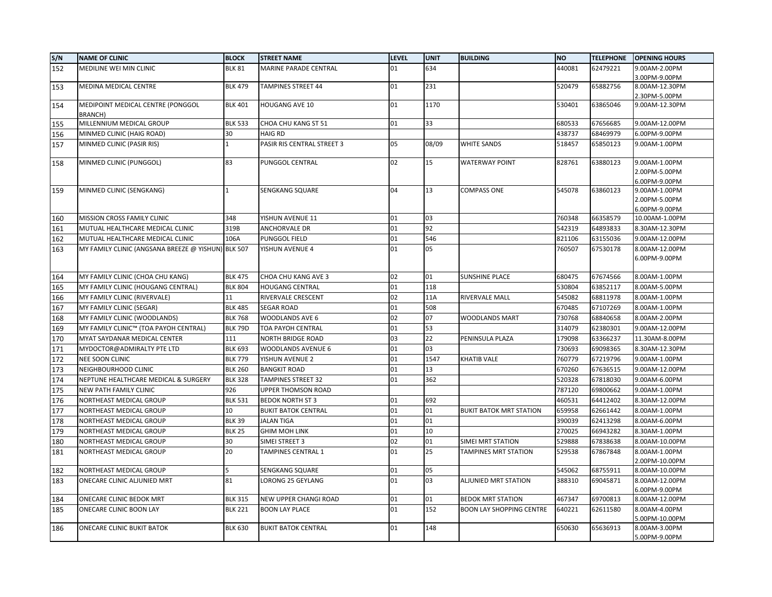| S/N | <b>NAME OF CLINIC</b>                               | <b>BLOCK</b>   | <b>STREET NAME</b>         | <b>LEVEL</b> | <b>UNIT</b> | <b>BUILDING</b>                 | <b>NO</b> | <b>TELEPHONE</b> | <b>OPENING HOURS</b>                            |
|-----|-----------------------------------------------------|----------------|----------------------------|--------------|-------------|---------------------------------|-----------|------------------|-------------------------------------------------|
| 152 | MEDILINE WEI MIN CLINIC                             | <b>BLK 81</b>  | MARINE PARADE CENTRAL      | 01           | 634         |                                 | 440081    | 62479221         | 9.00AM-2.00PM                                   |
|     |                                                     |                |                            |              |             |                                 |           |                  | 3.00PM-9.00PM                                   |
| 153 | MEDINA MEDICAL CENTRE                               | <b>BLK 479</b> | <b>TAMPINES STREET 44</b>  | 01           | 231         |                                 | 520479    | 65882756         | 8.00AM-12.30PM                                  |
|     |                                                     |                |                            |              |             |                                 |           |                  | 2.30PM-5.00PM                                   |
| 154 | MEDIPOINT MEDICAL CENTRE (PONGGOL<br><b>BRANCH)</b> | <b>BLK 401</b> | <b>HOUGANG AVE 10</b>      | 01           | 1170        |                                 | 530401    | 63865046         | 9.00AM-12.30PM                                  |
| 155 | MILLENNIUM MEDICAL GROUP                            | <b>BLK 533</b> | CHOA CHU KANG ST 51        | 01           | 33          |                                 | 680533    | 67656685         | 9.00AM-12.00PM                                  |
| 156 | MINMED CLINIC (HAIG ROAD)                           | 30             | <b>HAIG RD</b>             |              |             |                                 | 438737    | 68469979         | 6.00PM-9.00PM                                   |
| 157 | MINMED CLINIC (PASIR RIS)                           | 1              | PASIR RIS CENTRAL STREET 3 | 05           | 08/09       | <b>WHITE SANDS</b>              | 518457    | 65850123         | 9.00AM-1.00PM                                   |
| 158 | MINMED CLINIC (PUNGGOL)                             | 83             | PUNGGOL CENTRAL            | 02           | 15          | <b>WATERWAY POINT</b>           | 828761    | 63880123         | 9.00AM-1.00PM<br>2.00PM-5.00PM<br>6.00PM-9.00PM |
| 159 | MINMED CLINIC (SENGKANG)                            | $\mathbf{1}$   | SENGKANG SQUARE            | 04           | 13          | <b>COMPASS ONE</b>              | 545078    | 63860123         | 9.00AM-1.00PM<br>2.00PM-5.00PM<br>6.00PM-9.00PM |
| 160 | <b>MISSION CROSS FAMILY CLINIC</b>                  | 348            | YISHUN AVENUE 11           | 01           | 03          |                                 | 760348    | 66358579         | 10.00AM-1.00PM                                  |
| 161 | MUTUAL HEALTHCARE MEDICAL CLINIC                    | 319B           | ANCHORVALE DR              | 01           | 92          |                                 | 542319    | 64893833         | 8.30AM-12.30PM                                  |
| 162 | MUTUAL HEALTHCARE MEDICAL CLINIC                    | 106A           | <b>PUNGGOL FIELD</b>       | 01           | 546         |                                 | 821106    | 63155036         | 9.00AM-12.00PM                                  |
| 163 | MY FAMILY CLINIC (ANGSANA BREEZE @ YISHUN) BLK 507  |                | YISHUN AVENUE 4            | 01           | 05          |                                 | 760507    | 67530178         | 8.00AM-12.00PM<br>6.00PM-9.00PM                 |
| 164 | MY FAMILY CLINIC (CHOA CHU KANG)                    | <b>BLK 475</b> | CHOA CHU KANG AVE 3        | 02           | 01          | <b>SUNSHINE PLACE</b>           | 680475    | 67674566         | 8.00AM-1.00PM                                   |
| 165 | MY FAMILY CLINIC (HOUGANG CENTRAL)                  | <b>BLK 804</b> | <b>HOUGANG CENTRAL</b>     | 01           | 118         |                                 | 530804    | 63852117         | 8.00AM-5.00PM                                   |
| 166 | MY FAMILY CLINIC (RIVERVALE)                        | 11             | RIVERVALE CRESCENT         | 02           | 11A         | RIVERVALE MALL                  | 545082    | 68811978         | 8.00AM-1.00PM                                   |
| 167 | MY FAMILY CLINIC (SEGAR)                            | <b>BLK 485</b> | <b>SEGAR ROAD</b>          | 01           | 508         |                                 | 670485    | 67107269         | 8.00AM-1.00PM                                   |
| 168 | MY FAMILY CLINIC (WOODLANDS)                        | <b>BLK 768</b> | WOODLANDS AVE 6            | 02           | 07          | <b>WOODLANDS MART</b>           | 730768    | 68840658         | 8.00AM-2.00PM                                   |
| 169 | MY FAMILY CLINIC™ (TOA PAYOH CENTRAL)               | <b>BLK 79D</b> | <b>TOA PAYOH CENTRAL</b>   | 01           | 53          |                                 | 314079    | 62380301         | 9.00AM-12.00PM                                  |
| 170 | MYAT SAYDANAR MEDICAL CENTER                        | 111            | <b>NORTH BRIDGE ROAD</b>   | 03           | 22          | PENINSULA PLAZA                 | 179098    | 63366237         | 11.30AM-8.00PM                                  |
| 171 | MYDOCTOR@ADMIRALTY PTE LTD                          | <b>BLK 693</b> | <b>WOODLANDS AVENUE 6</b>  | 01           | 03          |                                 | 730693    | 69098365         | 8.30AM-12.30PM                                  |
| 172 | NEE SOON CLINIC                                     | <b>BLK 779</b> | YISHUN AVENUE 2            | 01           | 1547        | <b>KHATIB VALE</b>              | 760779    | 67219796         | 9.00AM-1.00PM                                   |
| 173 | NEIGHBOURHOOD CLINIC                                | <b>BLK 260</b> | <b>BANGKIT ROAD</b>        | 01           | 13          |                                 | 670260    | 67636515         | 9.00AM-12.00PM                                  |
| 174 | NEPTUNE HEALTHCARE MEDICAL & SURGERY                | <b>BLK 328</b> | <b>TAMPINES STREET 32</b>  | 01           | 362         |                                 | 520328    | 67818030         | 9.00AM-6.00PM                                   |
| 175 | NEW PATH FAMILY CLINIC                              | 926            | UPPER THOMSON ROAD         |              |             |                                 | 787120    | 69800662         | 9.00AM-1.00PM                                   |
| 176 | NORTHEAST MEDICAL GROUP                             | <b>BLK 531</b> | <b>BEDOK NORTH ST 3</b>    | 01           | 692         |                                 | 460531    | 64412402         | 8.30AM-12.00PM                                  |
| 177 | NORTHEAST MEDICAL GROUP                             | 10             | <b>BUKIT BATOK CENTRAL</b> | 01           | 01          | <b>BUKIT BATOK MRT STATION</b>  | 659958    | 62661442         | 8.00AM-1.00PM                                   |
| 178 | NORTHEAST MEDICAL GROUP                             | <b>BLK 39</b>  | <b>JALAN TIGA</b>          | 01           | 01          |                                 | 390039    | 62413298         | 8.00AM-6.00PM                                   |
| 179 | NORTHEAST MEDICAL GROUP                             | <b>BLK 25</b>  | <b>GHIM MOH LINK</b>       | 01           | 10          |                                 | 270025    | 66943282         | 8.30AM-1.00PM                                   |
| 180 | NORTHEAST MEDICAL GROUP                             | 30             | SIMEI STREET 3             | 02           | 01          | SIMEI MRT STATION               | 529888    | 67838638         | 8.00AM-10.00PM                                  |
| 181 | NORTHEAST MEDICAL GROUP                             | 20             | <b>TAMPINES CENTRAL 1</b>  | 01           | 25          | TAMPINES MRT STATION            | 529538    | 67867848         | 8.00AM-1.00PM<br>2.00PM-10.00PM                 |
| 182 | NORTHEAST MEDICAL GROUP                             | 5              | SENGKANG SQUARE            | 01           | 05          |                                 | 545062    | 68755911         | 8.00AM-10.00PM                                  |
| 183 | ONECARE CLINIC ALJUNIED MRT                         | 81             | LORONG 25 GEYLANG          | 01           | 03          | <b>ALJUNIED MRT STATION</b>     | 388310    | 69045871         | 8.00AM-12.00PM                                  |
|     | ONECARE CLINIC BEDOK MRT                            | <b>BLK 315</b> | NEW UPPER CHANGI ROAD      | 01           | 01          | <b>BEDOK MRT STATION</b>        | 467347    | 69700813         | 6.00PM-9.00PM<br>8.00AM-12.00PM                 |
| 184 | ONECARE CLINIC BOON LAY                             | <b>BLK 221</b> | <b>BOON LAY PLACE</b>      | 01           | 152         | <b>BOON LAY SHOPPING CENTRE</b> | 640221    | 62611580         | 8.00AM-4.00PM                                   |
| 185 |                                                     |                |                            |              |             |                                 |           |                  | 5.00PM-10.00PM                                  |
| 186 | <b>ONECARE CLINIC BUKIT BATOK</b>                   | <b>BLK 630</b> | <b>BUKIT BATOK CENTRAL</b> | 01           | 148         |                                 | 650630    | 65636913         | 8.00AM-3.00PM<br>5.00PM-9.00PM                  |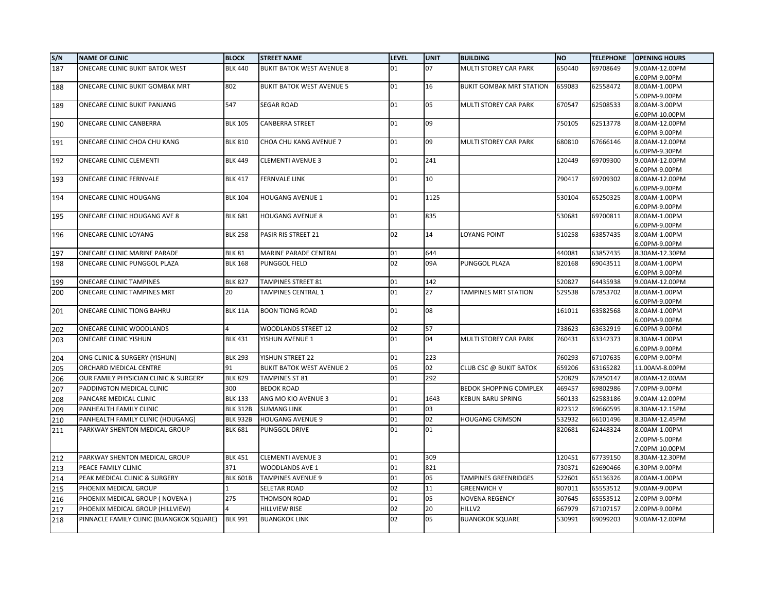| S/N | <b>NAME OF CLINIC</b>                    | <b>BLOCK</b>    | <b>STREET NAME</b>               | LEVEL | <b>UNIT</b> | <b>BUILDING</b>                 | <b>NO</b> | <b>TELEPHONE</b> | <b>OPENING HOURS</b>            |
|-----|------------------------------------------|-----------------|----------------------------------|-------|-------------|---------------------------------|-----------|------------------|---------------------------------|
| 187 | ONECARE CLINIC BUKIT BATOK WEST          | <b>BLK 440</b>  | <b>BUKIT BATOK WEST AVENUE 8</b> | 01    | 07          | MULTI STOREY CAR PARK           | 650440    | 69708649         | 9.00AM-12.00PM                  |
|     |                                          |                 |                                  |       |             |                                 |           |                  | 6.00PM-9.00PM                   |
| 188 | ONECARE CLINIC BUKIT GOMBAK MRT          | 802             | <b>BUKIT BATOK WEST AVENUE 5</b> | 01    | 16          | <b>BUKIT GOMBAK MRT STATION</b> | 659083    | 62558472         | 8.00AM-1.00PM                   |
|     |                                          |                 |                                  |       |             |                                 |           |                  | 5.00PM-9.00PM                   |
| 189 | ONECARE CLINIC BUKIT PANJANG             | 547             | <b>SEGAR ROAD</b>                | 01    | 05          | MULTI STOREY CAR PARK           | 670547    | 62508533         | 8.00AM-3.00PM                   |
|     |                                          |                 |                                  |       |             |                                 |           |                  | 6.00PM-10.00PM                  |
| 190 | ONECARE CLINIC CANBERRA                  | <b>BLK 105</b>  | CANBERRA STREET                  | 01    | 09          |                                 | 750105    | 62513778         | 8.00AM-12.00PM                  |
|     | ONECARE CLINIC CHOA CHU KANG             | <b>BLK 810</b>  | CHOA CHU KANG AVENUE 7           | 01    | 09          | MULTI STOREY CAR PARK           | 680810    | 67666146         | 6.00PM-9.00PM<br>8.00AM-12.00PM |
| 191 |                                          |                 |                                  |       |             |                                 |           |                  | 6.00PM-9.30PM                   |
| 192 | ONECARE CLINIC CLEMENTI                  | <b>BLK 449</b>  | <b>CLEMENTI AVENUE 3</b>         | 01    | 241         |                                 | 120449    | 69709300         | 9.00AM-12.00PM                  |
|     |                                          |                 |                                  |       |             |                                 |           |                  | 6.00PM-9.00PM                   |
| 193 | ONECARE CLINIC FERNVALE                  | <b>BLK 417</b>  | <b>FERNVALE LINK</b>             | 01    | 10          |                                 | 790417    | 69709302         | 8.00AM-12.00PM                  |
|     |                                          |                 |                                  |       |             |                                 |           |                  | 6.00PM-9.00PM                   |
| 194 | ONECARE CLINIC HOUGANG                   | <b>BLK 104</b>  | HOUGANG AVENUE 1                 | 01    | 1125        |                                 | 530104    | 65250325         | 8.00AM-1.00PM                   |
|     |                                          |                 |                                  |       |             |                                 |           |                  | 6.00PM-9.00PM                   |
| 195 | ONECARE CLINIC HOUGANG AVE 8             | <b>BLK 681</b>  | <b>HOUGANG AVENUE 8</b>          | 01    | 835         |                                 | 530681    | 69700811         | 8.00AM-1.00PM                   |
|     |                                          |                 |                                  |       |             |                                 |           |                  | 6.00PM-9.00PM                   |
| 196 | ONECARE CLINIC LOYANG                    | <b>BLK 258</b>  | PASIR RIS STREET 21              | 02    | 14          | <b>LOYANG POINT</b>             | 510258    | 63857435         | 8.00AM-1.00PM                   |
|     |                                          |                 |                                  |       |             |                                 |           |                  | 6.00PM-9.00PM                   |
| 197 | ONECARE CLINIC MARINE PARADE             | <b>BLK 81</b>   | MARINE PARADE CENTRAL            | 01    | 644         |                                 | 440081    | 63857435         | 8.30AM-12.30PM                  |
| 198 | ONECARE CLINIC PUNGGOL PLAZA             | <b>BLK 168</b>  | PUNGGOL FIELD                    | 02    | 09A         | PUNGGOL PLAZA                   | 820168    | 69043511         | 8.00AM-1.00PM                   |
|     | <b>ONECARE CLINIC TAMPINES</b>           | <b>BLK 827</b>  | TAMPINES STREET 81               | 01    | 142         |                                 | 520827    | 64435938         | 6.00PM-9.00PM                   |
| 199 |                                          | 20              |                                  | 01    | 27          |                                 | 529538    |                  | 9.00AM-12.00PM                  |
| 200 | ONECARE CLINIC TAMPINES MRT              |                 | TAMPINES CENTRAL 1               |       |             | <b>TAMPINES MRT STATION</b>     |           | 67853702         | 8.00AM-1.00PM<br>6.00PM-9.00PM  |
| 201 | ONECARE CLINIC TIONG BAHRU               | <b>BLK 11A</b>  | <b>BOON TIONG ROAD</b>           | 01    | 08          |                                 | 161011    | 63582568         | 8.00AM-1.00PM                   |
|     |                                          |                 |                                  |       |             |                                 |           |                  | 6.00PM-9.00PM                   |
| 202 | ONECARE CLINIC WOODLANDS                 | 4               | WOODLANDS STREET 12              | 02    | 57          |                                 | 738623    | 63632919         | 6.00PM-9.00PM                   |
| 203 | ONECARE CLINIC YISHUN                    | <b>BLK 431</b>  | YISHUN AVENUE 1                  | 01    | 04          | MULTI STOREY CAR PARK           | 760431    | 63342373         | 8.30AM-1.00PM                   |
|     |                                          |                 |                                  |       |             |                                 |           |                  | 6.00PM-9.00PM                   |
| 204 | ONG CLINIC & SURGERY (YISHUN)            | <b>BLK 293</b>  | YISHUN STREET 22                 | 01    | 223         |                                 | 760293    | 67107635         | 6.00PM-9.00PM                   |
| 205 | ORCHARD MEDICAL CENTRE                   | 91              | <b>BUKIT BATOK WEST AVENUE 2</b> | 05    | 02          | <b>CLUB CSC @ BUKIT BATOK</b>   | 659206    | 63165282         | 11.00AM-8.00PM                  |
| 206 | OUR FAMILY PHYSICIAN CLINIC & SURGERY    | <b>BLK 829</b>  | <b>TAMPINES ST 81</b>            | 01    | 292         |                                 | 520829    | 67850147         | 8.00AM-12.00AM                  |
| 207 | PADDINGTON MEDICAL CLINIC                | 300             | <b>BEDOK ROAD</b>                |       |             | <b>BEDOK SHOPPING COMPLEX</b>   | 469457    | 69802986         | 7.00PM-9.00PM                   |
| 208 | PANCARE MEDICAL CLINIC                   | <b>BLK 133</b>  | ANG MO KIO AVENUE 3              | 01    | 1643        | <b>KEBUN BARU SPRING</b>        | 560133    | 62583186         | 9.00AM-12.00PM                  |
| 209 | PANHEALTH FAMILY CLINIC                  | <b>BLK 312B</b> | <b>SUMANG LINK</b>               | 01    | 03          |                                 | 822312    | 69660595         | 8.30AM-12.15PM                  |
| 210 | PANHEALTH FAMILY CLINIC (HOUGANG)        | <b>BLK 932B</b> | <b>HOUGANG AVENUE 9</b>          | 01    | 02          | <b>HOUGANG CRIMSON</b>          | 532932    | 66101496         | 8.30AM-12.45PM                  |
| 211 | PARKWAY SHENTON MEDICAL GROUP            | <b>BLK 681</b>  | PUNGGOL DRIVE                    | 01    | 01          |                                 | 820681    | 62448324         | 8.00AM-1.00PM                   |
|     |                                          |                 |                                  |       |             |                                 |           |                  | 2.00PM-5.00PM                   |
|     |                                          |                 |                                  |       |             |                                 |           |                  | 7.00PM-10.00PM                  |
| 212 | PARKWAY SHENTON MEDICAL GROUP            | <b>BLK 451</b>  | <b>CLEMENTI AVENUE 3</b>         | 01    | 309         |                                 | 120451    | 67739150         | 8.30AM-12.30PM                  |
| 213 | PEACE FAMILY CLINIC                      | 371             | WOODLANDS AVE 1                  | 01    | 821         |                                 | 730371    | 62690466         | 6.30PM-9.00PM                   |
| 214 | PEAK MEDICAL CLINIC & SURGERY            | <b>BLK 601B</b> | <b>TAMPINES AVENUE 9</b>         | 01    | 05          | <b>TAMPINES GREENRIDGES</b>     | 522601    | 65136326         | 8.00AM-1.00PM                   |
| 215 | PHOENIX MEDICAL GROUP                    |                 | SELETAR ROAD                     | 02    | 11          | <b>GREENWICH V</b>              | 807011    | 65553512         | 9.00AM-9.00PM                   |
| 216 | PHOENIX MEDICAL GROUP (NOVENA)           | 275             | THOMSON ROAD                     | 01    | 05          | NOVENA REGENCY                  | 307645    | 65553512         | 2.00PM-9.00PM                   |
| 217 | PHOENIX MEDICAL GROUP (HILLVIEW)         | 4               | <b>HILLVIEW RISE</b>             | 02    | 20          | HILLV2                          | 667979    | 67107157         | 2.00PM-9.00PM                   |
| 218 | PINNACLE FAMILY CLINIC (BUANGKOK SQUARE) | <b>BLK 991</b>  | <b>BUANGKOK LINK</b>             | 02    | 05          | <b>BUANGKOK SQUARE</b>          | 530991    | 69099203         | 9.00AM-12.00PM                  |
|     |                                          |                 |                                  |       |             |                                 |           |                  |                                 |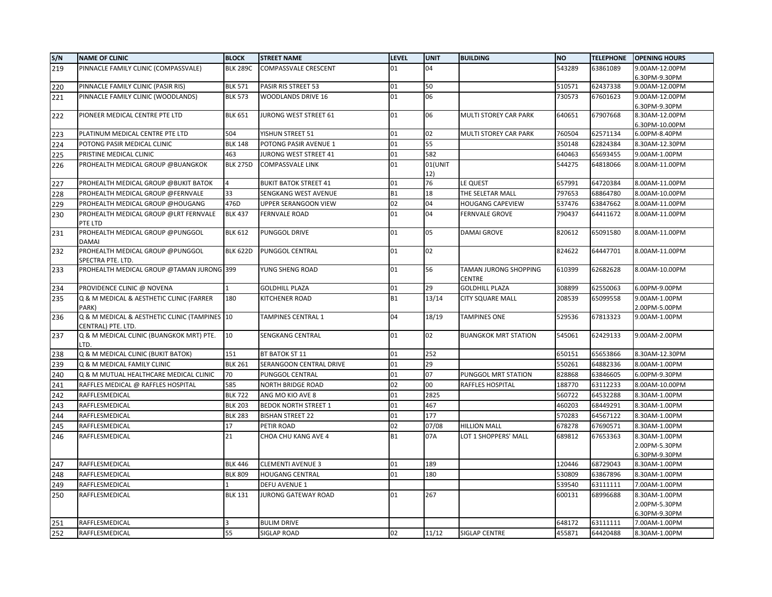| S/N | <b>NAME OF CLINIC</b>                                               | <b>BLOCK</b>    | <b>STREET NAME</b>           | <b>LEVEL</b> | <b>UNIT</b>    | <b>BUILDING</b>                        | <b>NO</b> | <b>TELEPHONE</b> | <b>OPENING HOURS</b>           |
|-----|---------------------------------------------------------------------|-----------------|------------------------------|--------------|----------------|----------------------------------------|-----------|------------------|--------------------------------|
| 219 | PINNACLE FAMILY CLINIC (COMPASSVALE)                                | <b>BLK 289C</b> | <b>COMPASSVALE CRESCENT</b>  | 01           | 04             |                                        | 543289    | 63861089         | 9.00AM-12.00PM                 |
|     |                                                                     |                 |                              |              |                |                                        |           |                  | 6.30PM-9.30PM                  |
| 220 | PINNACLE FAMILY CLINIC (PASIR RIS)                                  | <b>BLK 571</b>  | PASIR RIS STREET 53          | 01           | 50             |                                        | 510571    | 62437338         | 9.00AM-12.00PM                 |
| 221 | PINNACLE FAMILY CLINIC (WOODLANDS)                                  | <b>BLK 573</b>  | WOODLANDS DRIVE 16           | 01           | 06             |                                        | 730573    | 67601623         | 9.00AM-12.00PM                 |
|     |                                                                     |                 |                              |              |                |                                        |           |                  | 6.30PM-9.30PM                  |
| 222 | PIONEER MEDICAL CENTRE PTE LTD                                      | <b>BLK 651</b>  | JURONG WEST STREET 61        | 01           | 06             | MULTI STOREY CAR PARK                  | 640651    | 67907668         | 8.30AM-12.00PM                 |
|     |                                                                     |                 |                              |              |                |                                        |           |                  | 6.30PM-10.00PM                 |
| 223 | PLATINUM MEDICAL CENTRE PTE LTD                                     | 504             | YISHUN STREET 51             | 01           | 02             | MULTI STOREY CAR PARK                  | 760504    | 62571134         | 6.00PM-8.40PM                  |
| 224 | POTONG PASIR MEDICAL CLINIC                                         | <b>BLK 148</b>  | POTONG PASIR AVENUE 1        | 01           | 55             |                                        | 350148    | 62824384         | 8.30AM-12.30PM                 |
| 225 | PRISTINE MEDICAL CLINIC                                             | 463             | JURONG WEST STREET 41        | 01           | 582            |                                        | 640463    | 65693455         | 9.00AM-1.00PM                  |
| 226 | PROHEALTH MEDICAL GROUP @BUANGKOK                                   | <b>BLK 275D</b> | <b>COMPASSVALE LINK</b>      | 01           | 01(UNIT<br>12) |                                        | 544275    | 64818066         | 8.00AM-11.00PM                 |
| 227 | PROHEALTH MEDICAL GROUP @BUKIT BATOK                                | $\overline{4}$  | <b>BUKIT BATOK STREET 41</b> | 01           | 76             | LE QUEST                               | 657991    | 64720384         | 8.00AM-11.00PM                 |
| 228 | PROHEALTH MEDICAL GROUP @FERNVALE                                   | 33              | SENGKANG WEST AVENUE         | <b>B1</b>    | 18             | THE SELETAR MALL                       | 797653    | 68864780         | 8.00AM-10.00PM                 |
| 229 | PROHEALTH MEDICAL GROUP @HOUGANG                                    | 476D            | UPPER SERANGOON VIEW         | 02           | 04             | <b>HOUGANG CAPEVIEW</b>                | 537476    | 63847662         | 8.00AM-11.00PM                 |
| 230 | PROHEALTH MEDICAL GROUP @LRT FERNVALE<br>PTE LTD                    | <b>BLK 437</b>  | <b>FERNVALE ROAD</b>         | 01           | 04             | <b>FERNVALE GROVE</b>                  | 790437    | 64411672         | 8.00AM-11.00PM                 |
| 231 | PROHEALTH MEDICAL GROUP @PUNGGOL<br><b>DAMAI</b>                    | <b>BLK 612</b>  | PUNGGOL DRIVE                | 01           | 05             | <b>DAMAI GROVE</b>                     | 820612    | 65091580         | 8.00AM-11.00PM                 |
| 232 | PROHEALTH MEDICAL GROUP @PUNGGOL<br>SPECTRA PTE. LTD.               | <b>BLK 622D</b> | PUNGGOL CENTRAL              | 01           | 02             |                                        | 824622    | 64447701         | 8.00AM-11.00PM                 |
| 233 | PROHEALTH MEDICAL GROUP @TAMAN JURONG 399                           |                 | YUNG SHENG ROAD              | 01           | 56             | TAMAN JURONG SHOPPING<br><b>CENTRE</b> | 610399    | 62682628         | 8.00AM-10.00PM                 |
| 234 | PROVIDENCE CLINIC @ NOVENA                                          |                 | <b>GOLDHILL PLAZA</b>        | 01           | 29             | <b>GOLDHILL PLAZA</b>                  | 308899    | 62550063         | 6.00PM-9.00PM                  |
| 235 | Q & M MEDICAL & AESTHETIC CLINIC (FARRER<br>PARK)                   | 180             | KITCHENER ROAD               | <b>B1</b>    | 13/14          | <b>CITY SQUARE MALL</b>                | 208539    | 65099558         | 9.00AM-1.00PM<br>2.00PM-5.00PM |
| 236 | Q & M MEDICAL & AESTHETIC CLINIC (TAMPINES 10<br>CENTRAL) PTE. LTD. |                 | <b>TAMPINES CENTRAL 1</b>    | 04           | 18/19          | <b>TAMPINES ONE</b>                    | 529536    | 67813323         | 9.00AM-1.00PM                  |
| 237 | Q & M MEDICAL CLINIC (BUANGKOK MRT) PTE.<br>TD.                     | 10              | SENGKANG CENTRAL             | 01           | 02             | <b>BUANGKOK MRT STATION</b>            | 545061    | 62429133         | 9.00AM-2.00PM                  |
| 238 | Q & M MEDICAL CLINIC (BUKIT BATOK)                                  | 151             | BT BATOK ST 11               | 01           | 252            |                                        | 650151    | 65653866         | 8.30AM-12.30PM                 |
| 239 | Q & M MEDICAL FAMILY CLINIC                                         | <b>BLK 261</b>  | SERANGOON CENTRAL DRIVE      | 01           | 29             |                                        | 550261    | 64882336         | 8.00AM-1.00PM                  |
| 240 | Q & M MUTUAL HEALTHCARE MEDICAL CLINIC                              | 70              | <b>PUNGGOL CENTRAL</b>       | 01           | 07             | PUNGGOL MRT STATION                    | 828868    | 63846605         | 6.00PM-9.30PM                  |
| 241 | RAFFLES MEDICAL @ RAFFLES HOSPITAL                                  | 585             | <b>NORTH BRIDGE ROAD</b>     | 02           | 00             | RAFFLES HOSPITAL                       | 188770    | 63112233         | 8.00AM-10.00PM                 |
| 242 | RAFFLESMEDICAL                                                      | <b>BLK 722</b>  | ANG MO KIO AVE 8             | 01           | 2825           |                                        | 560722    | 64532288         | 8.30AM-1.00PM                  |
| 243 | RAFFLESMEDICAL                                                      | <b>BLK 203</b>  | <b>BEDOK NORTH STREET 1</b>  | 01           | 467            |                                        | 460203    | 68449291         | 8.30AM-1.00PM                  |
| 244 | RAFFLESMEDICAL                                                      | <b>BLK 283</b>  | <b>BISHAN STREET 22</b>      | 01           | 177            |                                        | 570283    | 64567122         | 8.30AM-1.00PM                  |
| 245 | RAFFLESMEDICAL                                                      | 17              | PETIR ROAD                   | 02           | 07/08          | <b>HILLION MALL</b>                    | 678278    | 67690571         | 8.30AM-1.00PM                  |
| 246 | RAFFLESMEDICAL                                                      | 21              | CHOA CHU KANG AVE 4          | <b>B1</b>    | 07A            | LOT 1 SHOPPERS' MALL                   | 689812    | 67653363         | 8.30AM-1.00PM                  |
|     |                                                                     |                 |                              |              |                |                                        |           |                  | 2.00PM-5.30PM                  |
|     |                                                                     |                 |                              |              |                |                                        |           |                  | 6.30PM-9.30PM                  |
| 247 | RAFFLESMEDICAL                                                      | <b>BLK 446</b>  | <b>CLEMENTI AVENUE 3</b>     | 01           | 189            |                                        | 120446    | 68729043         | 8.30AM-1.00PM                  |
| 248 | RAFFLESMEDICAL                                                      | <b>BLK 809</b>  | <b>HOUGANG CENTRAL</b>       | 01           | 180            |                                        | 530809    | 63867896         | 8.30AM-1.00PM                  |
| 249 | RAFFLESMEDICAL                                                      |                 | <b>DEFU AVENUE 1</b>         |              |                |                                        | 539540    | 63111111         | 7.00AM-1.00PM                  |
| 250 | RAFFLESMEDICAL                                                      | <b>BLK 131</b>  | JURONG GATEWAY ROAD          | 01           | 267            |                                        | 600131    | 68996688         | 8.30AM-1.00PM                  |
|     |                                                                     |                 |                              |              |                |                                        |           |                  | 2.00PM-5.30PM                  |
|     |                                                                     |                 |                              |              |                |                                        |           |                  | 6.30PM-9.30PM                  |
| 251 | RAFFLESMEDICAL                                                      | 3               | <b>BULIM DRIVE</b>           |              |                |                                        | 648172    | 63111111         | 7.00AM-1.00PM                  |
| 252 | RAFFLESMEDICAL                                                      | 55              | <b>SIGLAP ROAD</b>           | 02           | 11/12          | <b>SIGLAP CENTRE</b>                   | 455871    | 64420488         | 8.30AM-1.00PM                  |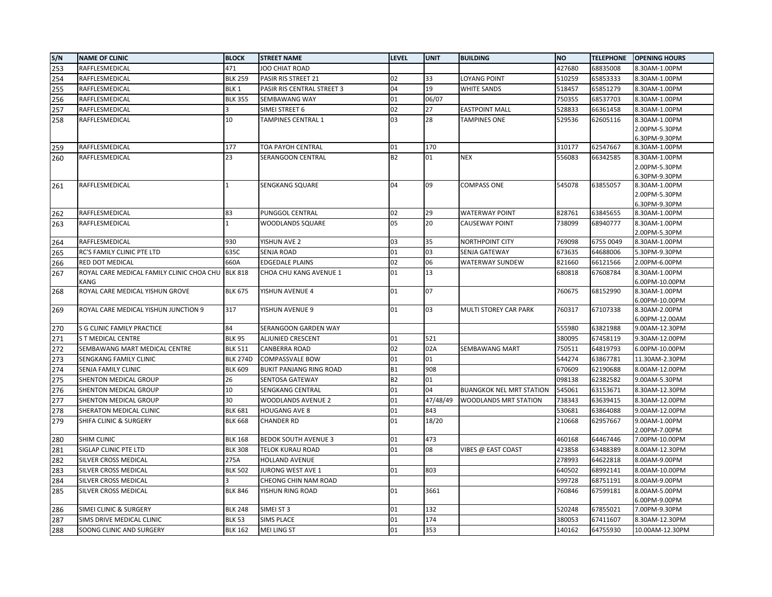| S/N | <b>NAME OF CLINIC</b>                     | <b>BLOCK</b>     | <b>STREET NAME</b>             | LEVEL     | <b>UNIT</b> | <b>BUILDING</b>                 | <b>NO</b> | <b>TELEPHONE</b> | <b>OPENING HOURS</b>            |
|-----|-------------------------------------------|------------------|--------------------------------|-----------|-------------|---------------------------------|-----------|------------------|---------------------------------|
| 253 | RAFFLESMEDICAL                            | 471              | JOO CHIAT ROAD                 |           |             |                                 | 427680    | 68835008         | 8.30AM-1.00PM                   |
| 254 | RAFFLESMEDICAL                            | <b>BLK 259</b>   | PASIR RIS STREET 21            | 02        | 33          | <b>LOYANG POINT</b>             | 510259    | 65853333         | 8.30AM-1.00PM                   |
| 255 | RAFFLESMEDICAL                            | BLK <sub>1</sub> | PASIR RIS CENTRAL STREET 3     | 04        | 19          | <b>WHITE SANDS</b>              | 518457    | 65851279         | 8.30AM-1.00PM                   |
| 256 | RAFFLESMEDICAL                            | <b>BLK 355</b>   | SEMBAWANG WAY                  | 01        | 06/07       |                                 | 750355    | 68537703         | 8.30AM-1.00PM                   |
| 257 | RAFFLESMEDICAL                            |                  | SIMEI STREET 6                 | 02        | 27          | <b>EASTPOINT MALL</b>           | 528833    | 66361458         | 8.30AM-1.00PM                   |
| 258 | RAFFLESMEDICAL                            | 10               | TAMPINES CENTRAL 1             | 03        | 28          | <b>TAMPINES ONE</b>             | 529536    | 62605116         | 8.30AM-1.00PM                   |
|     |                                           |                  |                                |           |             |                                 |           |                  | 2.00PM-5.30PM                   |
|     |                                           |                  |                                |           |             |                                 |           |                  | 6.30PM-9.30PM                   |
| 259 | RAFFLESMEDICAL                            | 177              | TOA PAYOH CENTRAL              | 01        | 170         |                                 | 310177    | 62547667         | 8.30AM-1.00PM                   |
| 260 | RAFFLESMEDICAL                            | 23               | SERANGOON CENTRAL              | <b>B2</b> | 01          | <b>NEX</b>                      | 556083    | 66342585         | 8.30AM-1.00PM                   |
|     |                                           |                  |                                |           |             |                                 |           |                  | 2.00PM-5.30PM                   |
| 261 | RAFFLESMEDICAL                            | $\mathbf{1}$     | SENGKANG SQUARE                | 04        | 09          | <b>COMPASS ONE</b>              | 545078    | 63855057         | 6.30PM-9.30PM<br>8.30AM-1.00PM  |
|     |                                           |                  |                                |           |             |                                 |           |                  | 2.00PM-5.30PM                   |
|     |                                           |                  |                                |           |             |                                 |           |                  | 6.30PM-9.30PM                   |
| 262 | RAFFLESMEDICAL                            | 83               | PUNGGOL CENTRAL                | 02        | 29          | <b>WATERWAY POINT</b>           | 828761    | 63845655         | 8.30AM-1.00PM                   |
| 263 | RAFFLESMEDICAL                            | 1                | WOODLANDS SQUARE               | 05        | 20          | <b>CAUSEWAY POINT</b>           | 738099    | 68940777         | 8.30AM-1.00PM                   |
|     |                                           |                  |                                |           |             |                                 |           |                  | 2.00PM-5.30PM                   |
| 264 | RAFFLESMEDICAL                            | 930              | YISHUN AVE 2                   | 03        | 35          | NORTHPOINT CITY                 | 769098    | 6755 0049        | 8.30AM-1.00PM                   |
| 265 | RC'S FAMILY CLINIC PTE LTD                | 635C             | SENJA ROAD                     | 01        | 03          | SENJA GATEWAY                   | 673635    | 64688006         | 5.30PM-9.30PM                   |
| 266 | RED DOT MEDICAL                           | 660A             | <b>EDGEDALE PLAINS</b>         | 02        | 06          | WATERWAY SUNDEW                 | 821660    | 66121566         | 2.00PM-6.00PM                   |
| 267 | ROYAL CARE MEDICAL FAMILY CLINIC CHOA CHU | <b>BLK 818</b>   | CHOA CHU KANG AVENUE 1         | 01        | 13          |                                 | 680818    | 67608784         | 8.30AM-1.00PM                   |
|     | KANG                                      |                  |                                |           |             |                                 |           |                  | 6.00PM-10.00PM                  |
| 268 | ROYAL CARE MEDICAL YISHUN GROVE           | <b>BLK 675</b>   | YISHUN AVENUE 4                | 01        | 07          |                                 | 760675    | 68152990         | 8.30AM-1.00PM                   |
|     | ROYAL CARE MEDICAL YISHUN JUNCTION 9      | 317              | YISHUN AVENUE 9                | 01        | 03          | MULTI STOREY CAR PARK           | 760317    | 67107338         | 6.00PM-10.00PM                  |
| 269 |                                           |                  |                                |           |             |                                 |           |                  | 8.30AM-2.00PM<br>6.00PM-12.00AM |
| 270 | S G CLINIC FAMILY PRACTICE                | 84               | SERANGOON GARDEN WAY           |           |             |                                 | 555980    | 63821988         | 9.00AM-12.30PM                  |
| 271 | <b>ST MEDICAL CENTRE</b>                  | <b>BLK 95</b>    | ALJUNIED CRESCENT              | 01        | 521         |                                 | 380095    | 67458119         | 9.30AM-12.00PM                  |
| 272 | SEMBAWANG MART MEDICAL CENTRE             | <b>BLK 511</b>   | CANBERRA ROAD                  | 02        | 02A         | <b>SEMBAWANG MART</b>           | 750511    | 64819793         | 6.00PM-10.00PM                  |
| 273 | SENGKANG FAMILY CLINIC                    | <b>BLK 274D</b>  | COMPASSVALE BOW                | 01        | 01          |                                 | 544274    | 63867781         | 11.30AM-2.30PM                  |
| 274 | SENJA FAMILY CLINIC                       | <b>BLK 609</b>   | <b>BUKIT PANJANG RING ROAD</b> | <b>B1</b> | 908         |                                 | 670609    | 62190688         | 8.00AM-12.00PM                  |
| 275 | SHENTON MEDICAL GROUP                     | 26               | SENTOSA GATEWAY                | <b>B2</b> | 01          |                                 | 098138    | 62382582         | 9.00AM-5.30PM                   |
| 276 | SHENTON MEDICAL GROUP                     | 10               | SENGKANG CENTRAL               | 01        | 04          | <b>BUANGKOK NEL MRT STATION</b> | 545061    | 63153671         | 8.30AM-12.30PM                  |
| 277 | SHENTON MEDICAL GROUP                     | 30               | WOODLANDS AVENUE 2             | 01        | 47/48/49    | WOODLANDS MRT STATION           | 738343    | 63639415         | 8.30AM-12.00PM                  |
| 278 | SHERATON MEDICAL CLINIC                   | <b>BLK 681</b>   | <b>HOUGANG AVE 8</b>           | 01        | 843         |                                 | 530681    | 63864088         | 9.00AM-12.00PM                  |
| 279 | SHIFA CLINIC & SURGERY                    | <b>BLK 668</b>   | <b>CHANDER RD</b>              | 01        | 18/20       |                                 | 210668    | 62957667         | 9.00AM-1.00PM                   |
|     |                                           |                  |                                |           |             |                                 |           |                  | 2.00PM-7.00PM                   |
| 280 | SHIM CLINIC                               | <b>BLK 168</b>   | <b>BEDOK SOUTH AVENUE 3</b>    | 01        | 473         |                                 | 460168    | 64467446         | 7.00PM-10.00PM                  |
| 281 | SIGLAP CLINIC PTE LTD                     | <b>BLK 308</b>   | <b>TELOK KURAU ROAD</b>        | 01        | 08          | VIBES @ EAST COAST              | 423858    | 63488389         | 8.00AM-12.30PM                  |
| 282 | SILVER CROSS MEDICAL                      | 275A             | <b>HOLLAND AVENUE</b>          |           |             |                                 | 278993    | 64622818         | 8.00AM-9.00PM                   |
| 283 | SILVER CROSS MEDICAL                      | <b>BLK 502</b>   | JURONG WEST AVE 1              | 01        | 803         |                                 | 640502    | 68992141         | 8.00AM-10.00PM                  |
| 284 | SILVER CROSS MEDICAL                      |                  | CHEONG CHIN NAM ROAD           |           |             |                                 | 599728    | 68751191         | 8.00AM-9.00PM                   |
| 285 | SILVER CROSS MEDICAL                      | <b>BLK 846</b>   | YISHUN RING ROAD               | 01        | 3661        |                                 | 760846    | 67599181         | 8.00AM-5.00PM                   |
|     |                                           |                  |                                |           |             |                                 |           |                  | 6.00PM-9.00PM                   |
| 286 | SIMEI CLINIC & SURGERY                    | <b>BLK 248</b>   | SIMEI ST 3                     | 01        | 132         |                                 | 520248    | 67855021         | 7.00PM-9.30PM                   |
| 287 | SIMS DRIVE MEDICAL CLINIC                 | <b>BLK 53</b>    | <b>SIMS PLACE</b>              | 01        | 174         |                                 | 380053    | 67411607         | 8.30AM-12.30PM                  |
| 288 | SOONG CLINIC AND SURGERY                  | <b>BLK 162</b>   | <b>MEI LING ST</b>             | 01        | 353         |                                 | 140162    | 64755930         | 10.00AM-12.30PM                 |